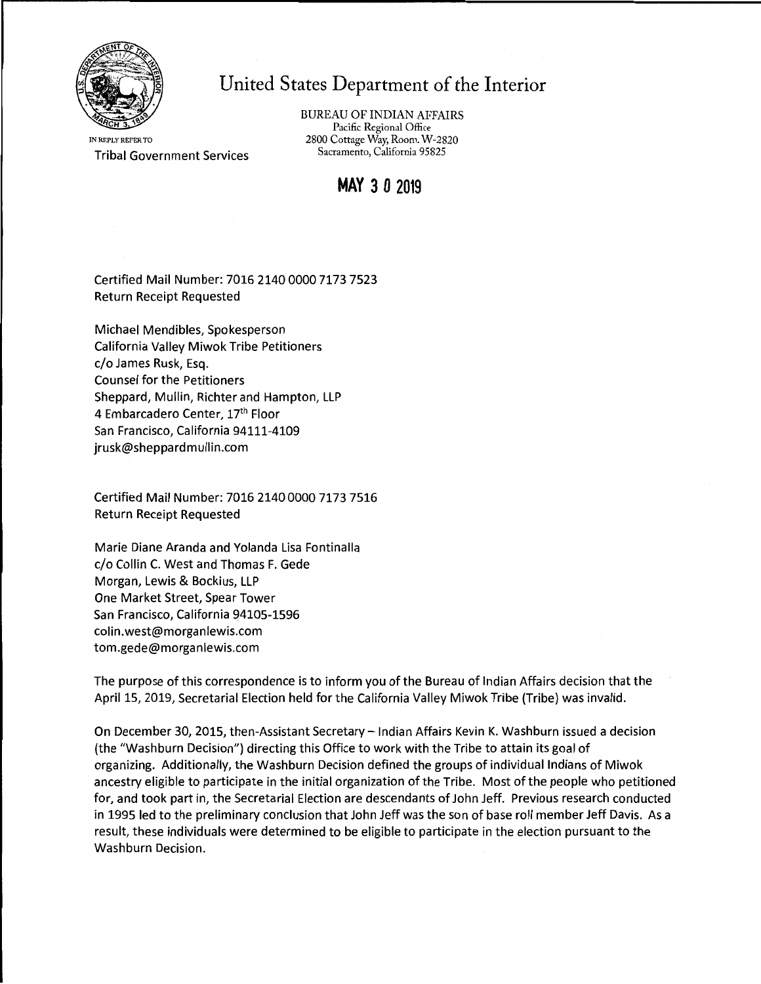

# United States Department of the Interior

IN REPLY REFER TO Tribal Government Services BUREAU OF INDIAN AFFAIRS Pacific Regional Office 2800 Cottage Way, Room. W-2820 Sacramento, California 95825

# **MAY 3 0 2019**

Certified Mail Number: 7016 2140 0000 7173 7523 Return Receipt Requested

Michael Mendibles, Spokesperson California Valley Miwok Tribe Petitioners c/o James Rusk, Esq. Counsel for the Petitioners Sheppard, Mullin, Richter and Hampton, LLP 4 Embarcadero Center, 17th Floor San Francisco, California 94111-4109 jrusk@sheppardmullin.com

Certified Mail Number: 7016 2140 0000 7173 7516 Return Receipt Requested

Marie Diane Aranda and Yolanda Lisa Fontinalla c/o Collin C. West and Thomas F. Gede Morgan, Lewis & Bockius, LLP One Market Street, Spear Tower San Francisco, California 94105-1596 colin.west@morganlewis.com tom.gede@morganlewis.com

The purpose of this correspondence is to inform you of the Bureau of Indian Affairs decision that the April 15, 2019, Secretarial Election held for the California Valley Miwok Tribe (Tribe) was invalid.

On December 30, 2015, then-Assistant Secretary- Indian Affairs Kevin K. Washburn issued a decision (the "Washburn Decision") directing this Office to work with the Tribe to attain its goal of organizing. Additionally, the Washburn Decision defined the groups of individual Indians of Miwok ancestry eligible to participate in the initial organization of the Tribe. Most of the people who petitioned for, and took part in, the Secretarial Election are descendants of John Jeff. Previous research conducted in 1995 led to the preliminary conclusion that John Jeff was the son of base roll member Jeff Davis. As a result, these individuals were determined to be eligible to participate in the election pursuant to the Washburn Decision.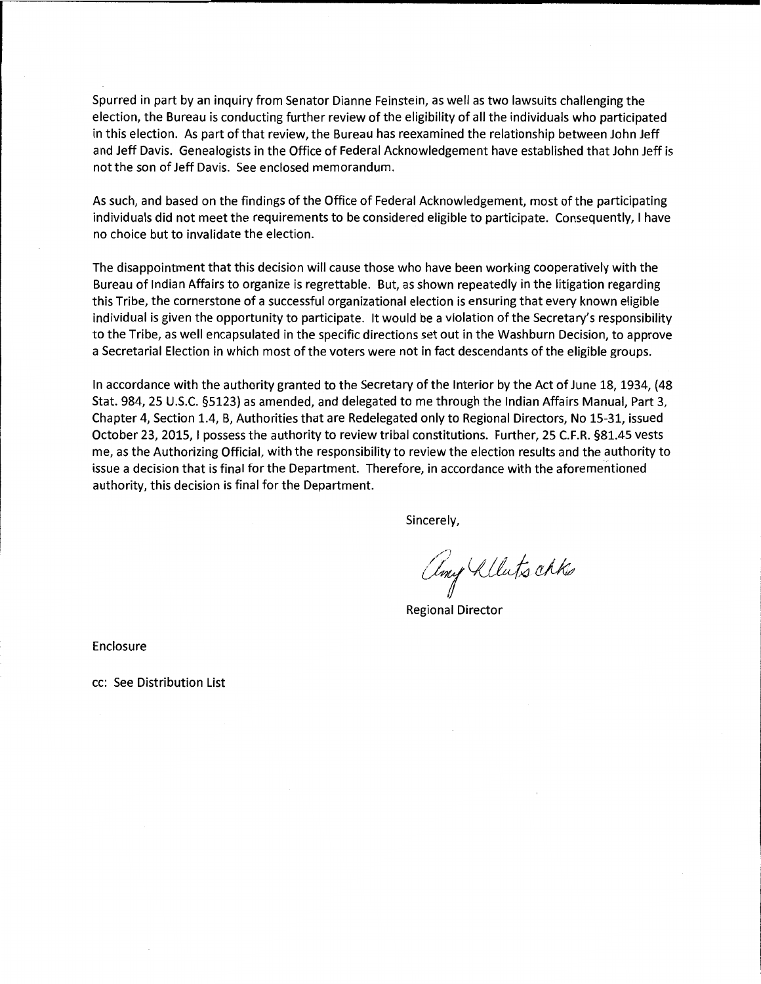Spurred in part by an inquiry from Senator Dianne Feinstein, as well as two lawsuits challenging the election, the Bureau is conducting further review of the eligibility of all the individuals who participated in this election. As part of that review, the Bureau has reexamined the relationship between John Jeff and Jeff Davis. Genealogists in the Office of Federal Acknowledgement have established that John Jeff is not the son of Jeff Davis. See enclosed memorandum.

As such, and based on the findings of the Office of Federal Acknowledgement, most of the participating individuals did not meet the requirements to be considered eligible to participate. Consequently, I have no choice but to invalidate the election.

The disappointment that this decision will cause those who have been working cooperatively with the Bureau of Indian Affairs to organize is regrettable. But, as shown repeatedly in the litigation regarding this Tribe, the cornerstone of a successful organizational election is ensuring that every known eligible individual is given the opportunity to participate. It would be a violation of the Secretary's responsibility to the Tribe, as well encapsulated in the specific directions set out in the Washburn Decision, to approve a Secretarial Election in which most of the voters were not in fact descendants of the eligible groups.

In accordance with the authority granted to the Secretary of the Interior by the Act of June 18, 1934, (48 Stat. 984, 25 U.S.C. §5123) as amended, and delegated to me through the Indian Affairs Manual, Part 3, Chapter 4, Section 1.4, B, Authorities that are Redelegated only to Regional Directors, No 15-31, issued October 23, 2015, I possess the authority to review tribal constitutions. Further, 25 C.F.R. §81.45 vests me, as the Authorizing Official, with the responsibility to review the election results and the authority to issue a decision that is final for the Department. Therefore, in accordance with the aforementioned authority, this decision is final for the Department.

Sincerely,

any Alluts akks

Regional Director

Enclosure

cc: See Distribution List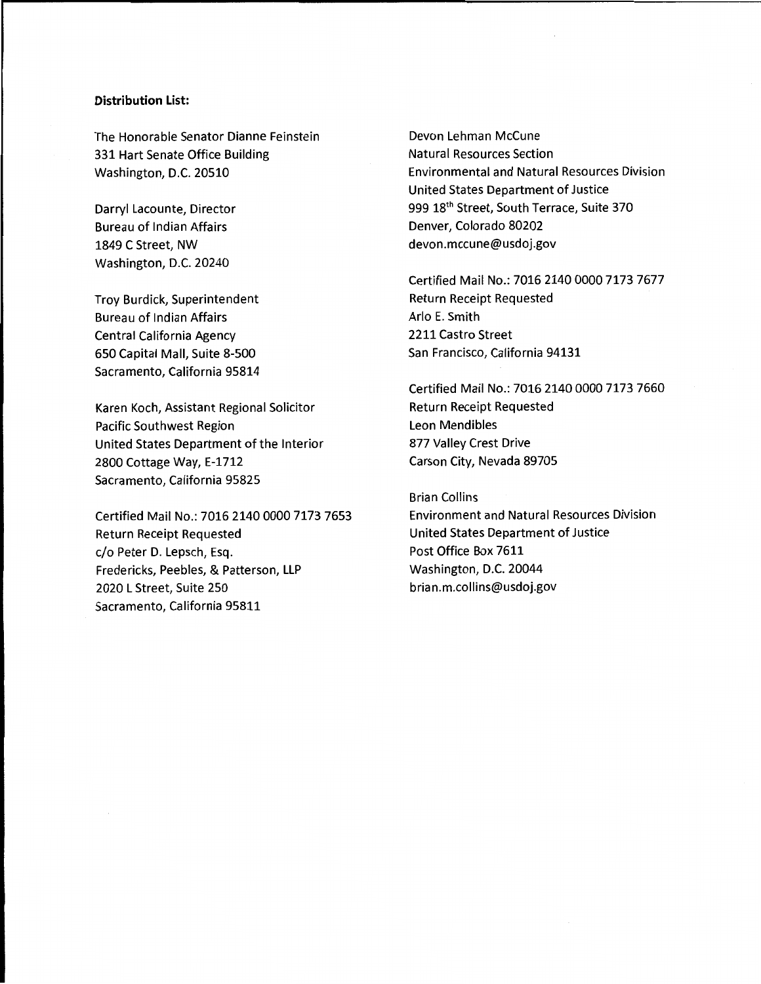#### **Distribution List:**

The Honorable Senator Dianne Feinstein 331 Hart Senate Office Building Washington, D.C. 20510

Darryl Lacounte, Director Bureau of Indian Affairs 1849 C Street, NW Washington, D.C. 20240

Troy Burdick, Superintendent Bureau of Indian Affairs Central California Agency 650 Capital Mall, Suite 8-500 Sacramento, California 95814

Karen Koch, Assistant Regional Solicitor Pacific Southwest Region United States Department of the Interior 2800 Cottage Way, E-1712 Sacramento, California 95825

Certified Mail No.: 7016 2140 0000 7173 7653 Return Receipt Requested c/o Peter D. Lepsch, Esq. Fredericks, Peebles, & Patterson, LLP 2020 L Street, Suite 250 Sacramento, California 95811

Devon Lehman McCune Natural Resources Section Environmental and Natural Resources Division United States Department of Justice 999 18<sup>th</sup> Street, South Terrace, Suite 370 Denver, Colorado 80202 devon.mccune@usdoj.gov

Certified Mail No.: 7016 2140 0000 7173 7677 Return Receipt Requested Ario E. Smith 2211 Castro Street San Francisco, California 94131

Certified Mail No.: 7016 2140 0000 7173 7660 Return Receipt Requested Leon Mendibles 877 Valley Crest Drive Carson City, Nevada 89705

Brian Collins Environment and Natural Resources Division United States Department of Justice Post Office Box 7611 Washington, D.C. 20044 brian.m.collins@usdoj.gov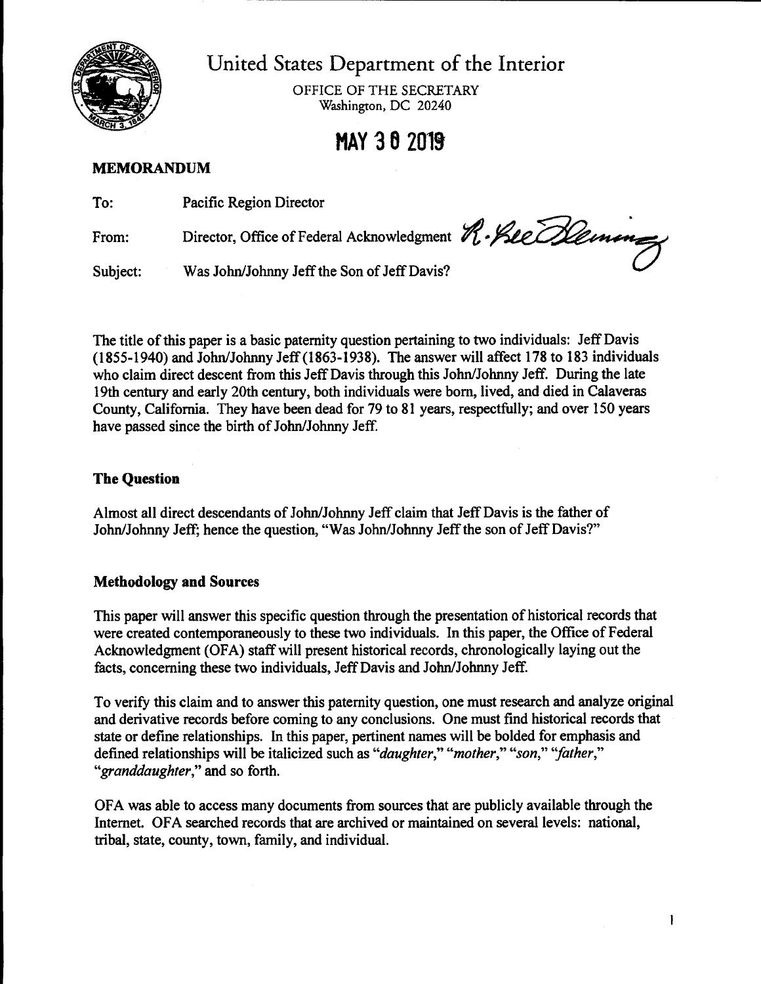

United States Department of the Interior

OFFICE OF THE SECRETARY Washington, DC 20240

# **NAY J 6 2019**

# **MEMORANDUM**

| To:      | Pacific Region Director                     |  |
|----------|---------------------------------------------|--|
| From:    | Region Duction                              |  |
| Subject: | Was John/Johnny Jeff the Son of Jeff Davis? |  |

The title of this paper is a basic paternity question pertaining to two individuals: Jeff Davis (1855-1940) and John/Johnny Jeff (1863-1938). The answer will affect 178 to 183 individuals who claim direct descent from this Jeff Davis through this John/Johnny Jeff. During the late 19th century and early 20th century, both individuals were born, lived, and died in Calaveras County, California. They have been dead for 79 to 81 years, respectfully; and over 150 years have passed since the birth of John/Johnny Jeff.

# **The Question**

Almost all direct descendants of John/Johnny Jeff claim that Jeff Davis is the father of John/Johnny Jeff; hence the question, "Was John/Johnny Jeff the son of Jeff Davis?"

# **Methodology and Sources**

This paper will answer this specific question through the presentation of historical records that were created contemporaneously to these two individuals. In this paper, the Office of Federal Acknowledgment (OFA) staff will present historical records, chronologically laying out the facts, concerning these two individuals, Jeff Davis and John/Johnny Jeff.

To verify this claim and to answer this paternity question, one must research and analyze original and derivative records before coming to any conclusions. One must find historical records that state or define relationships. In this paper, pertinent names will be bolded for emphasis and defined relationships will be italicized such as *"daughter," "mother," "son," ''father," "granddaughter,"* and so forth.

OFA was able to access many documents from sources that are publicly available through the Internet. OFA searched records that are archived or maintained on several levels: national, tribal, state, county, town, family, and individual.

 $\mathbf{I}$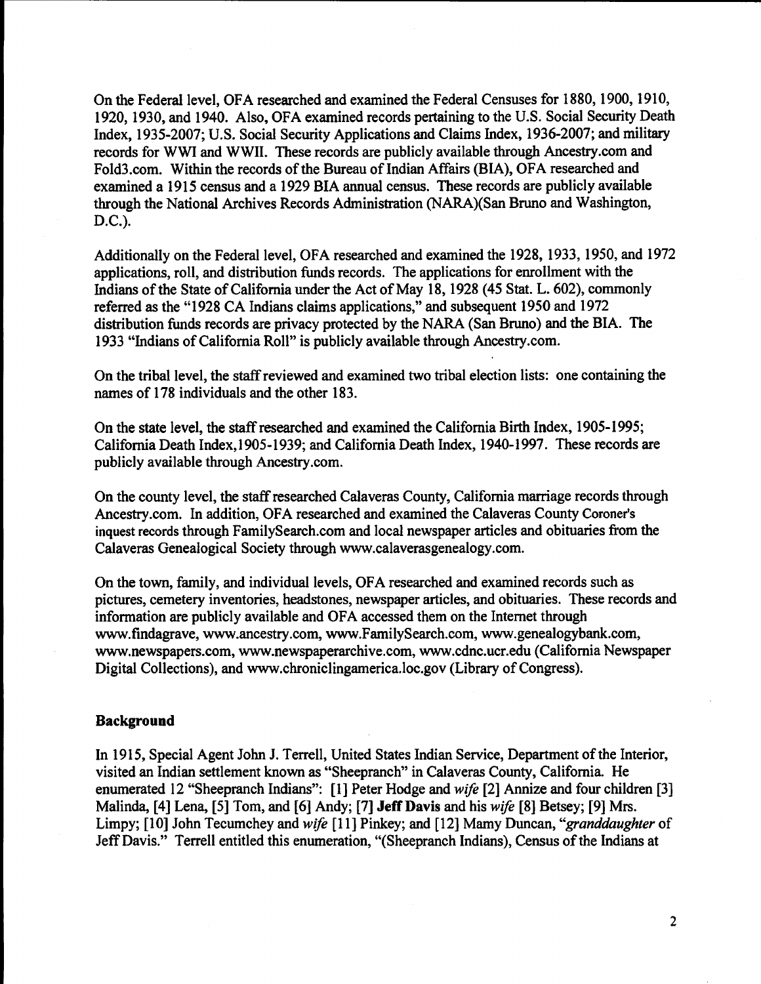On the Federal level, OFA researched and examined the Federal Censuses for 1880, 1900, 1910, 1920, 1930, and 1940. Also, OFA examined records pertaining to the U.S. Social Security Death Index, 1935-2007; U.S. Social Security Applications and Claims Index, 1936-2007; and military records for WWI and WWII. These records are publicly available through Ancestry.com and Fold3.com. Within the records of the Bureau of Indian Affairs (BIA), OFA researched and examined a 1915 census and a 1929 BIA annual census. These records are publicly available through the National Archives Records Administration (NARA)(San Bruno and Washington, D.C.).

Additionally on the Federal level, OFA researched and examined the 1928, 1933, 1950, and 1972 applications, roll, and distribution funds records. The applications for enrollment with the Indians of the State of California under the Act of May 18, 1928 (45 Stat. L. 602), commonly referred as the "1928 CA Indians claims applications," and subsequent 1950 and 1972 distribution funds records are privacy protected by the NARA (San Bruno) and the BIA. The 1933 "Indians of California Roll" is publicly available through Ancestry.com.

On the tribal level, the staff reviewed and examined two tribal election lists: one containing the names of 178 individuals and the other 183.

On the state level, the staff researched and examined the California Birth Index, 1905-1995; California Death Index, 1905-1939; and California Death Index, 1940-1997. These records are publicly available through Ancestry.com.

On the county level, the staff researched Calaveras County, California marriage records through Ancestry.com. In addition, OFA researched and examined the Calaveras County Coroner's inquest records through FamilySearch.com and local newspaper articles and obituaries from the Calaveras Genealogical Society through www.calaverasgenealogy.com.

On the town, family, and individual levels, OFA researched and examined records such as pictures, cemetery inventories, headstones, newspaper articles, and obituaries. These records and information are publicly available and OFA accessed them on the Internet through www.findagrave,www.ancestry.com, www.FamilySearch.com, www.genealogybank.com, www.newspapers.com, www.newspaperarchive.com, www.cdnc.ucr.edu (California Newspaper Digital Collections), and www.chroniclingamerica.loc.gov (Library of Congress).

#### **Background**

In 1915, Special Agent John J. Terrell, United States Indian Service, Department of the Interior, visited an Indian settlement known as "Sheepranch" in Calaveras County, California. He enumerated 12 "Sheepranch Indians": [1] Peter Hodge and *wife* [2] Annize and four children [3] Malinda, [4] Lena, [5] Tom, and [6] Andy; [7] **Jeff Davis** and his *wife* [8] Betsey; [9] Mrs. Limpy; (10] John Tecumchey and *wife* [11] Pinkey; and [12] Mamy Duncan, *"granddaughter* of Jeff Davis." Terrell entitled this enumeration, "(Sheepranch Indians), Census of the Indians at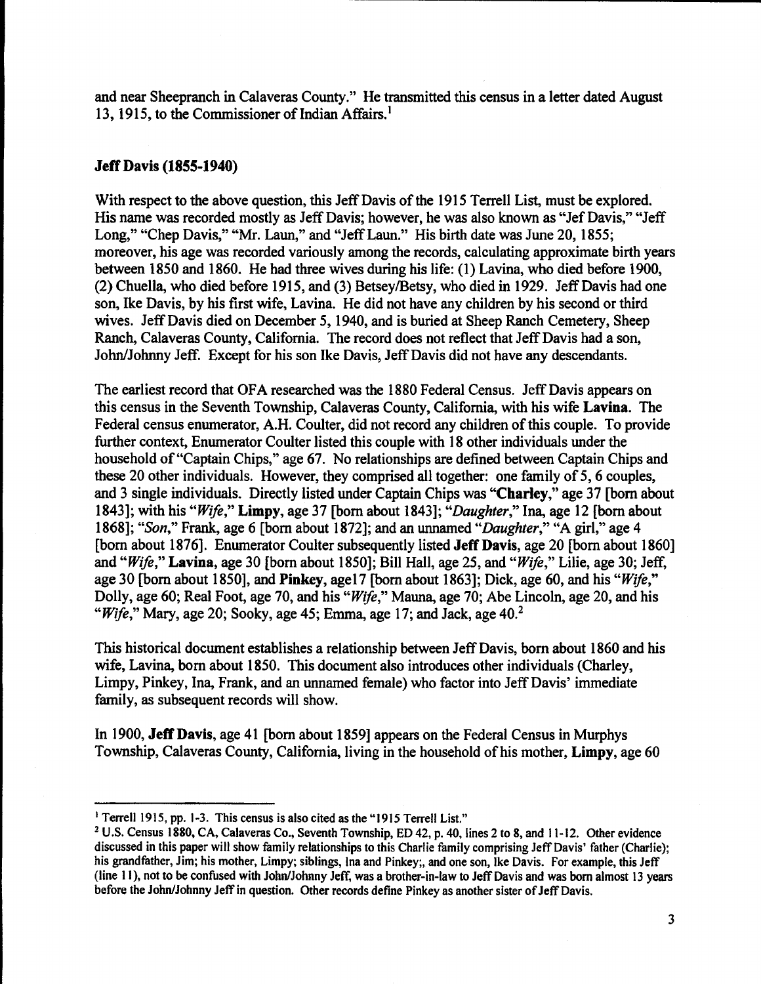and near Sheepranch in Calaveras County." He transmitted this census in a letter dated August 13, 1915, to the Commissioner of Indian Affairs.<sup>1</sup>

## **Jeff Davis (1855-1940)**

With respect to the above question, this Jeff Davis of the 1915 Terrell List, must be explored. His name was recorded mostly as Jeff Davis; however, he was also known as "Jef Davis," "Jeff Long," "Chep Davis," "Mr. Laun," and "Jeff Laun." His birth date was June 20, 1855; moreover, his age was recorded variously among the records, calculating approximate birth years between 1850 and 1860. He had three wives during his life: (1) Lavina, who died before 1900, (2) Chuella, who died before 1915, and (3) Betsey/Betsy, who died in 1929. Jeff Davis had one son, Ike Davis, by his first wife, Lavina. He did not have any children by his second or third wives. Jeff Davis died on December 5, 1940, and is buried at Sheep Ranch Cemetery, Sheep Ranch, Calaveras County, California. The record does not reflect that Jeff Davis had a son, John/Johnny Jeff. Except for his son Ike Davis, Jeff Davis did not have any descendants.

The earliest record that OFA researched was the 1880 Federal Census. Jeff Davis appears on this census in the Seventh Township, Calaveras County, California, with his wife **Lavina.** The Federal census enumerator, A.H. Coulter, did not record any children of this couple. To provide further context, Enumerator Coulter listed this couple with 18 other individuals under the household of"Captain Chips," age 67. No relationships are defined between Captain Chips and these 20 other individuals. However, they comprised all together: one family of 5, 6 couples, and 3 single individuals. Directly listed under Captain Chips was **"Charley,"** age 37 [born about 1843]; with his *"Wife,"* **Limpy,** age 37 [born about 1843]; *"Daughter,"* Ina, age 12 [born about 1868]; *"Son,"* Frank, age 6 [born about 1872]; and an unnamed *"Daughter,"* "A girl," age 4 [born about 1876]. Enumerator Coulter subsequently listed **Jeff Davis,** age 20 [born about 1860] and *"Wife,"* **Lavina,** age 30 [born about 1850]; Bill Hall, age 25, and *"Wife,"* Lilie, age 30; Jeff, age 30 [born about 1850], and **Pinkey,** age17 [born about 1863]; Dick, age 60, and his *"Wife,"*  Dolly, age 60; Real Foot, age 70, and his *"Wife,"* Mauna, age 70; Abe Lincoln, age 20, and his *"Wife,"* Mary, age 20; Sooky, age 45; Emma, age 17; and Jack, age 40.<sup>2</sup>

This historical document establishes a relationship between Jeff Davis, born about 1860 and his wife, Lavina, born about 1850. This document also introduces other individuals (Charley, Limpy, Pinkey, Ina, Frank, and an unnamed female) who factor into Jeff Davis' immediate family, as subsequent records will show.

In 1900, **Jeff Davis,** age 41 [born about 1859] appears on the Federal Census in Murphys Township, Calaveras County, California, living in the household of his mother, **Limpy,** age 60

<sup>&</sup>lt;sup>1</sup> Terrell 1915, pp. 1-3. This census is also cited as the "1915 Terrell List."

<sup>2</sup>U.S. Census 1880, CA, Calaveras Co., Seventh Township, ED 42, p. 40, lines 2 to 8, and 11-12. Other evidence discussed in this paper will show family relationships to this Charlie family comprising Jeff Davis' father (Charlie); his grandfather, Jim; his mother, Limpy; siblings, Ina and Pinkey;, and one son, Ike Davis. For example, this Jeff (line I 1 }, not to be confused with John/Johnny Jeff, was a brother-in-law to Jeff Davis and was born almost 13 years before the John/Johnny Jeff in question. Other records define Pinkey as another sister of Jeff Davis.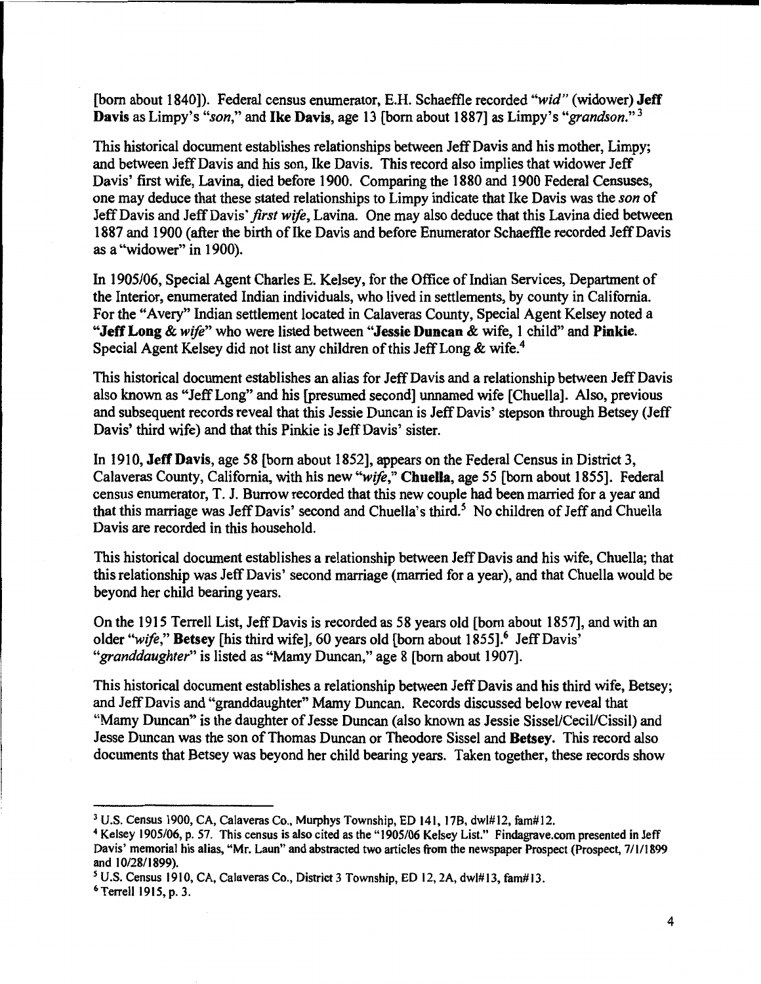[born about 1840]). Federal census enumerator, E.H. Schaeffle recorded *"wid"* (widower) **Jeff Davis** as Limpy's *"son,"* and **Ike Davis,** age 13 [born about 1887] as Limpy's *"grandson." <sup>3</sup>*

This historical document establishes relationships between Jeff Davis and his mother, Limpy; and between Jeff Davis and his son, Ike Davis. This record also implies that widower Jeff Davis' first wife, Lavina, died before 1900. Comparing the 1880 and 1900 Federal Censuses, one may deduce that these stated relationships to Limpy indicate that Ike Davis was the *son* of Jeff Davis and Jeff Davis' *first wife,* Lavina. One may also deduce that this Lavina died between 1887 and 1900 ( after the birth of Ike Davis and before Enumerator Schaeffle recorded Jeff Davis as a "widower" in 1900).

In 1905/06, Special Agent Charles E. Kelsey, for the Office of Indian Services, Department of the Interior, enumerated Indian individuals, who lived in settlements, by county in California. For the "Avery" Indian settlement located in Calaveras County, Special Agent Kelsey noted a **"Jeff Long** & *wife"* who were listed between **"Jessie Duncan** & wife, 1 child" and **Pinkie.**  Special Agent Kelsey did not list any children of this Jeff Long & wife.<sup>4</sup>

This historical document establishes an alias for Jeff Davis and a relationship between Jeff Davis also known as "Jeff Long" and his [presumed second] unnamed wife [Chuella]. Also, previous and subsequent records reveal that this Jessie Duncan is Jeff Davis' stepson through Betsey (Jeff Davis' third wife) and that this Pinkie is Jeff Davis' sister.

In 1910, **Jeff Davis,** age 58 [born about 1852], appears on the Federal Census in District 3, Calaveras County, California, with his new *"wife,"* **Chuella,** age 55 [born about 1855]. Federal census enumerator, T. J. Burrow recorded that this new couple had been married for a year and that this marriage was Jeff Davis' second and Chuella's third.<sup>5</sup> No children of Jeff and Chuella Davis are recorded in this household.

This historical document establishes a relationship between Jeff Davis and his wife, Chuella; that this relationship was Jeff Davis' second marriage (married for a year), and that Chuella would be beyond her child bearing years.

On the 1915 Terrell List, Jeff Davis is recorded as 58 years old [born about 1857], and with an older "wife," Betsey [his third wife], 60 years old [born about 1855].<sup>6</sup> Jeff Davis' *"granddaughter"* is listed as "Mamy Duncan," age 8 [born about 1907].

This historical document establishes a relationship between Jeff Davis and his third wife, Betsey; and Jeff Davis and "granddaughter" Mamy Duncan. Records discussed below reveal that "Mamy Duncan" is the daughter of Jesse Duncan (also known as Jessie Sissel/Cecil/Cissil) and Jesse Duncan was the son of Thomas Duncan or Theodore Sissel and **Betsey.** This record also documents that Betsey was beyond her child bearing years. Taken together, these records show

<sup>3</sup>U.S. Census 1900, CA, Calaveras Co., Murphys Township, ED 141, 178, dwl#l2, fam#l2.

<sup>4</sup>Kelsey 1905/06, p. 57. This census is also cited as the" 1905/06 Kelsey List." Findagrave.com presented in Jeff Davis' memorial his alias, **"Mr.** Laun" and abstracted two articles from the newspaper Prospect (Prospect, 7/1/1899 and 10/28/1899).

*<sup>5</sup>*U.S. Census 1910, CA, Calaveras Co., District 3 Township, ED 12, 2A, dwl#l3, fam#l3.

<sup>6</sup>Terrell 1915, p. 3.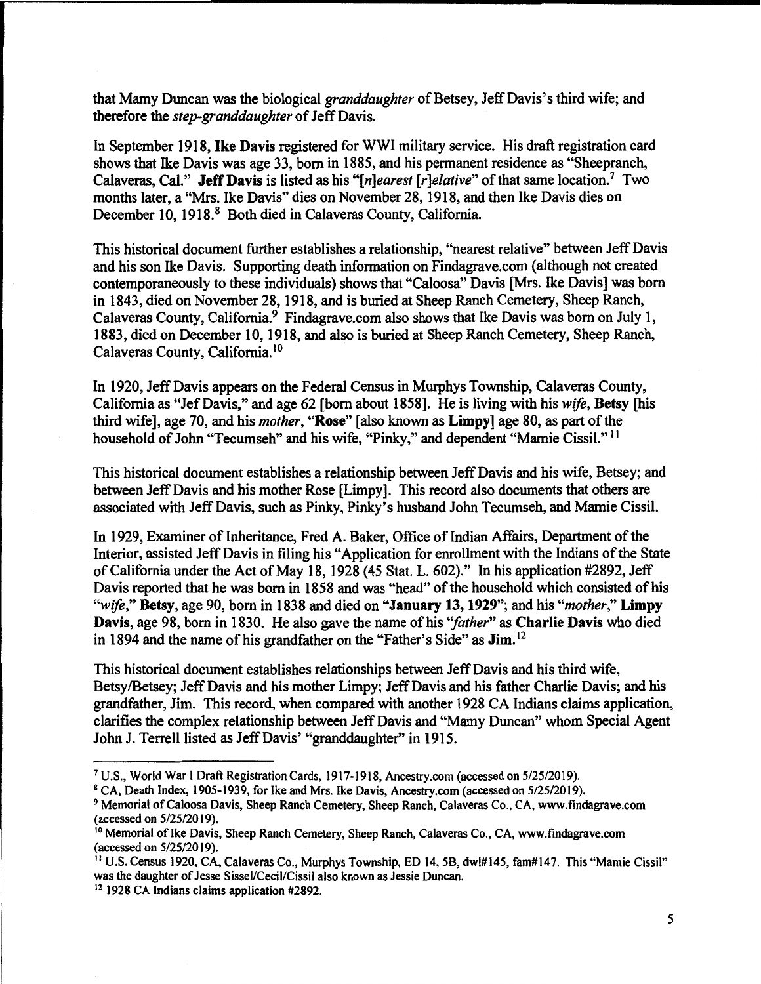that Mamy Duncan was the biological *granddaughter* of Betsey, Jeff Davis's third wife; and therefore the *step-granddaughter* of Jeff Davis.

In September 1918, **Ike Davis** registered for WWI military service. His draft registration card shows that Ike Davis was age 33, born in 1885, and his permanent residence as "Sheepranch, Calaveras, Cal." **Jeff Davis** is listed as his *"[n]earest [r]elative"* of that same location.<sup>7</sup>Two months later, a "Mrs. Ike Davis" dies on November 28, 1918, and then Ike Davis dies on December 10, 1918.<sup>8</sup> Both died in Calaveras County, California.

This historical document further establishes a relationship, "nearest relative" between Jeff Davis and his son Ike Davis. Supporting death information on Findagrave.com (although not created contemporaneously to these individuals) shows that "Caloosa" Davis [Mrs. Ike Davis] was born in 1843, died on November 28, 1918, and is buried at Sheep Ranch Cemetery, Sheep Ranch, Calaveras County, California.<sup>9</sup> Findagrave.com also shows that Ike Davis was born on July 1, 1883, died on December 10, 1918, and also is buried at Sheep Ranch Cemetery, Sheep Ranch, Calaveras County, California. <sup>10</sup>

In 1920, Jeff Davis appears on the Federal Census in Murphys Township, Calaveras County, California as "JefDavis," and age 62 [born about 1858]. He is living with his *wife,* **Betsy** [his third wife], age 70, and his *mother,* **"Rose"** [also known as **Limpy]** age 80, as part of the household of John "Tecumseh" and his wife, "Pinky," and dependent "Mamie Cissil.'' <sup>11</sup>

This historical document establishes a relationship between Jeff Davis and his wife, Betsey; and between Jeff Davis and his mother Rose [Limpy]. This record also documents that others are associated with Jeff Davis, such as Pinky, Pinky's husband John Tecumseh, and Mamie Cissil.

In 1929, Examiner of Inheritance, Fred A. Baker, Office of Indian Affairs, Department of the Interior, assisted Jeff Davis in filing his "Application for enrollment with the Indians of the State of California under the Act of May 18, 1928 (45 Stat. L. 602)." In his application #2892, Jeff Davis reported that he was born in 1858 and was "head" of the household which consisted of his *"wife,"* **Betsy,** age 90, born in 1838 and died on **"January 13, 1929";** and his *"mother,"* **Limpy Davis,** age 98, born in 1830. He also gave the name of his *''father"* as **Charlie Davis** who died in 1894 and the name of his grandfather on the "Father's Side" as **Jim. <sup>12</sup>**

This historical document establishes relationships between Jeff Davis and his third wife, Betsy/Betsey; Jeff Davis and his mother Limpy; Jeff Davis and his father Charlie Davis; and his grandfather, Jim. This record, when compared with another 1928 CA Indians claims application, clarifies the complex relationship between Jeff Davis and "Mamy Duncan" whom Special Agent John J. Terrell listed as Jeff Davis' "granddaughter" in 1915.

<sup>7</sup> U.S., World War I Draft Registration Cards, 1917-1918, Ancestry.com (accessed on 5/25/2019).

<sup>8</sup>CA, Death Index, 1905-1939, for Ike and Mrs. Ike Davis, Ancestry.com (accessed on 5/25/2019).

<sup>&</sup>lt;sup>9</sup> Memorial of Caloosa Davis, Sheep Ranch Cemetery, Sheep Ranch, Calaveras Co., CA, www.findagrave.com (accessed on 5/25/2019).

<sup>&</sup>lt;sup>10</sup> Memorial of Ike Davis, Sheep Ranch Cemetery, Sheep Ranch, Calaveras Co., CA, www.findagrave.com (accessed on 5/25/2019).

<sup>11</sup> U.S. Census 1920, CA, Calaveras Co., Murphys Township, ED 14, 58, dwl#l45, fam#l47. This "Mamie Cissil" was the daughter of Jesse Sissel/Cecil/Cissil also known as Jessie Duncan.

<sup>12 1928</sup> CA Indians claims application #2892.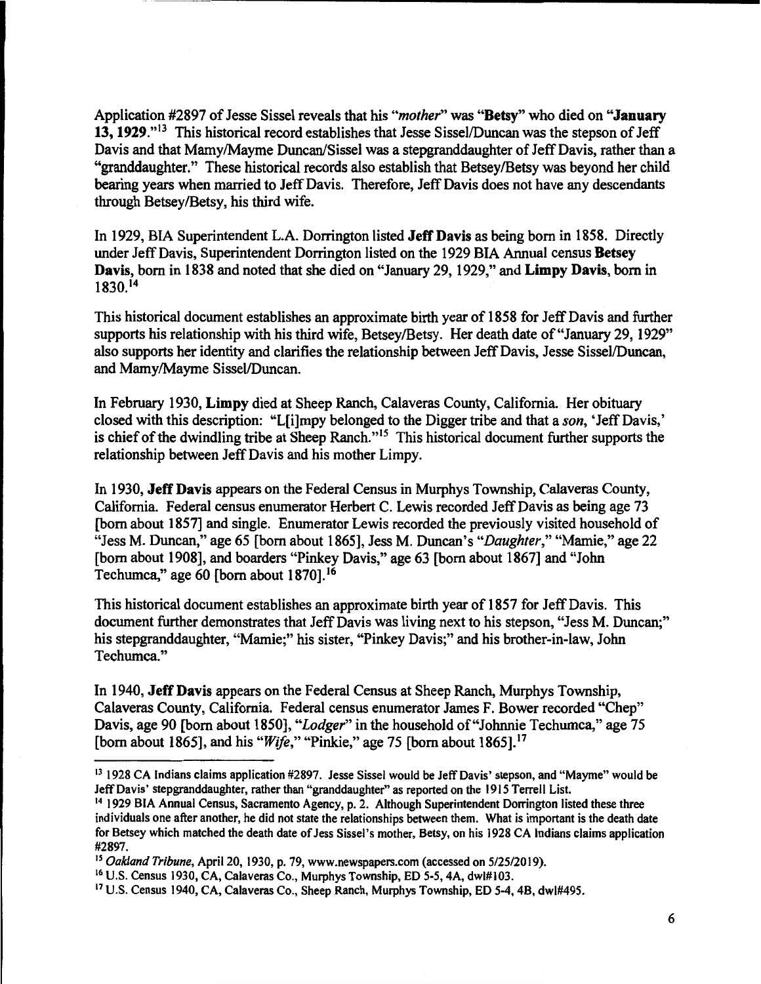Application #2897 of Jesse Sissel reveals that his *"mother"* was **"Betsy"** who died on **"January 13, 1929."13** This historical record establishes that Jesse Sissel/Duncan was the stepson of Jeff Davis and that Mamy/Mayme Duncan/Sissel was a stepgranddaughter of Jeff Davis, rather than a "granddaughter." These historical records also establish that Betsey/Betsy was beyond her child bearing years when married to Jeff Davis. Therefore, Jeff Davis does not have any descendants through Betsey/Betsy, his third wife.

In 1929, BIA Superintendent L.A. Dorrington listed **Jeff Davis** as being born in 1858. Directly under Jeff Davis, Superintendent Dorrington listed on the 1929 BIA Annual census **Betsey Davis,** born in 1838 and noted that she died on "January 29, 1929," and **Limpy Davis,** born in 1830.<sup>14</sup>

This historical document establishes an approximate birth year of **1858** for Jeff Davis and further supports his relationship with his third wife, Betsey/Betsy. Her death date of "January 29, 1929" also supports her identity and clarifies the relationship between Jeff Davis, Jesse Sissel/Duncan, and Mamy/Mayme Sissel/Duncan.

In February 1930, Limpy died at Sheep Ranch, Calaveras County, California. Her obituary closed with this description: "L[i]mpy belonged to the Digger tribe and that a *son,* 'Jeff Davis,' is chief of the dwindling tribe at Sheep Ranch."15 This historical document further supports the relationship between Jeff Davis and his mother Limpy.

In 1930, **Jeff Davis** appears on the Federal Census in Murphys Township, Calaveras County, California. Federal census enumerator Herbert C. Lewis recorded Jeff Davis as being age 73 [born about 1857] and single. Enumerator Lewis recorded the previously visited household of "Jess M. Duncan," age 65 [born about 1865], Jess M. Duncan's *"Daughter,"* "Mamie," age 22 [born about 1908], and boarders "Pinkey Davis," age 63 [born about 1867] and "John Techumca," age 60 [born about 1870].<sup>16</sup>

This historical document establishes an approximate birth year of 1857 for Jeff Davis. This document further demonstrates that Jeff Davis was living next to his stepson, "Jess M. Duncan;'' his stepgranddaughter, "Mamie;" his sister, "Pinkey Davis;" and his brother-in-law, John Techumca."

In 1940, **Jeff Davis** appears on the Federal Census at Sheep Ranch, Murphys Township, Calaveras County, California. Federal census enumerator James F. Bower recorded "Chep" Davis, age 90 [born about 1850], *"Lodger"* in the household of"Johnnie Techumca," age 75 [born about 1865], and his *"Wife,"* "Pinkie," age 75 [born about 1865).<sup>17</sup>

<sup>13</sup>1928 CA Indians claims application #2897. Jesse Sissel would be Jeff Davis' stepson, and "Mayme" would be Jeff Davis' stepgranddaughter, rather than "granddaughter" as reported on the 1915 Terrell List.

<sup>14 1929</sup> BIA Annual Census, Sacramento Agency, p. 2. Although Superintendent Dorrington listed these three individuals one after another, he did not state the relationships between them. What is important is the death date for Betsey which matched the death date of Jess Sissel's mother, Betsy, on his 1928 CA Indians claims application #2897.

<sup>15</sup>*Oakland Tribune,* April 20, 1930, p. 79, www.newspapers.com (accessed on 5/25/2019).

<sup>16</sup> U.S. Census 1930, CA, Calaveras Co., Murphys Township, ED 5-5, 4A, dwl#I03.

<sup>17</sup>U.S. Census 1940, CA, Calaveras Co., Sheep Ranch, Murphys Township, ED 5-4, 48, dwl#495.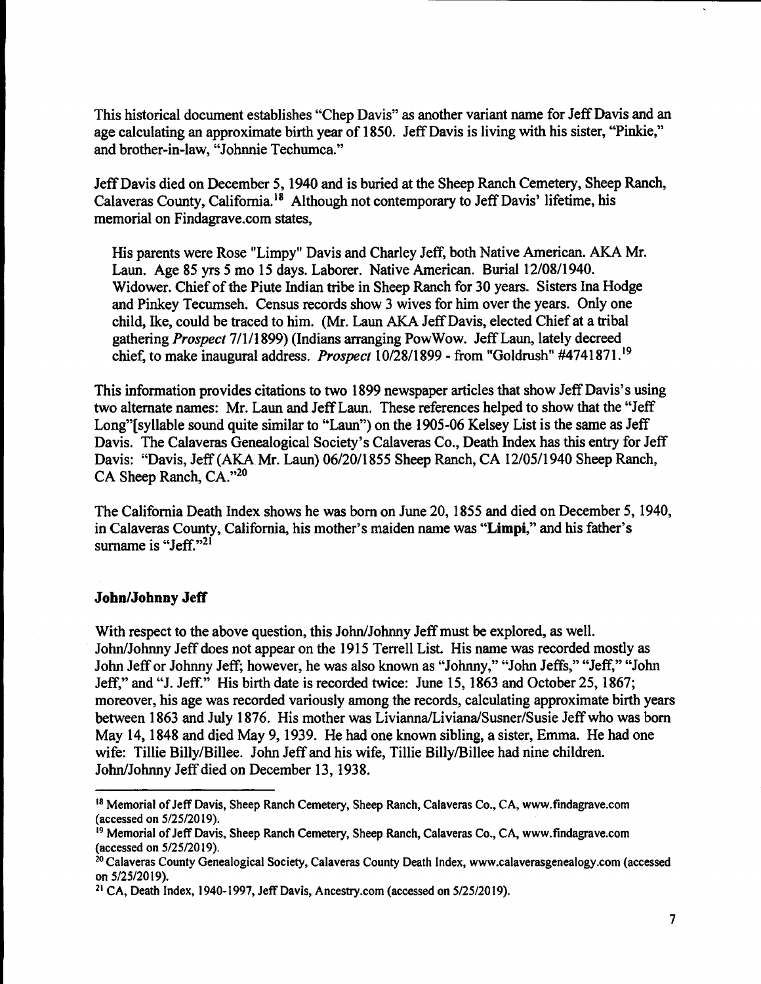This historical document establishes "Chep Davis" as another variant name for Jeff Davis and an age calculating an approximate birth year of 1850. Jeff Davis is living with his sister, "Pinkie," and brother-in-law, "Johnnie Techumca."

Jeff Davis died on December 5, 1940 and is buried at the Sheep Ranch Cemetery, Sheep Ranch, Calaveras County, California.<sup>18</sup> Although not contemporary to Jeff Davis' lifetime, his memorial on Findagrave.com states,

His parents were Rose "Limpy" Davis and Charley Jeff, both Native American. AKA Mr. Laun. Age 85 yrs *5* mo 15 days. Laborer. Native American. Burial 12/08/1940. Widower. Chief of the Piute Indian tribe in Sheep Ranch for 30 years. Sisters Ina Hodge and Pinkey Tecumseh. Census records show 3 wives for him over the years. Only one child, Ike, could be traced to him. (Mr. Laun AKA Jeff Davis, elected Chief at a tribal gathering *Prospect* 7/1/1899) (Indians arranging PowWow. Jeff Laun, lately decreed chief, to make inaugural address. *Prospect* 10/28/1899-from "Goldrush" #4741871. <sup>19</sup>

This information provides citations to two 1899 newspaper articles that show Jeff Davis's using two alternate names: Mr. Laun and Jeff Laun. These references helped to show that the "Jeff Long"[syllable sound quite similar to "Laun") on the 1905-06 Kelsey List is the same as Jeff Davis. The Calaveras Genealogical Society's Calaveras Co., Death Index has this entry for Jeff Davis: "Davis, Jeff (AKA Mr. Laun) 06/20/1855 Sheep Ranch, CA 12/05/1940 Sheep Ranch, CA Sheep Ranch, CA."<sup>20</sup>

The California Death Index shows he was born on June 20, 1855 and died on December 5, 1940, in Calaveras County, California, his mother's maiden name was **"Limpi,"** and his father's surname is "Jeff."<sup>21</sup>

#### **John/Johnny Jeff**

With respect to the above question, this John/Johnny Jeff must be explored, as well. John/Johnny Jeff does not appear on the 1915 Terrell List. His name was recorded mostly as John Jeff or Johnny Jeff; however, he was also known as "Johnny," "John Jeffs," "Jeff," "John Jeff," and "J. Jeff." His birth date is recorded twice: June 15, 1863 and October 25, 1867; moreover, his age was recorded variously among the records, calculating approximate birth years between 1863 and July 1876. His mother was Livianna/Liviana/Susner/Susie Jeff who was born May 14, 1848 and died May 9, 1939. He had one known sibling, a sister, Emma. He had one wife: Tillie Billy/Billee. John Jeff and his wife, Tillie Billy/Billee had nine children. John/Johnny Jeff died on December 13, 1938.

<sup>&</sup>lt;sup>18</sup> Memorial of Jeff Davis, Sheep Ranch Cemetery, Sheep Ranch, Calaveras Co., CA, www.findagrave.com (accessed on 5/25/2019).

<sup>&</sup>lt;sup>19</sup> Memorial of Jeff Davis, Sheep Ranch Cemetery, Sheep Ranch, Calaveras Co., CA, www.findagrave.com (accessed on 5/25/2019).

<sup>2</sup> ° Calaveras County Genealogical Society, Calaveras County Death Index, www.calaverasgenealogy.com (accessed on  $5/25/2019$ ).<br><sup>21</sup> CA, Death Index, 1940-1997, Jeff Davis, Ancestry.com (accessed on  $5/25/2019$ ).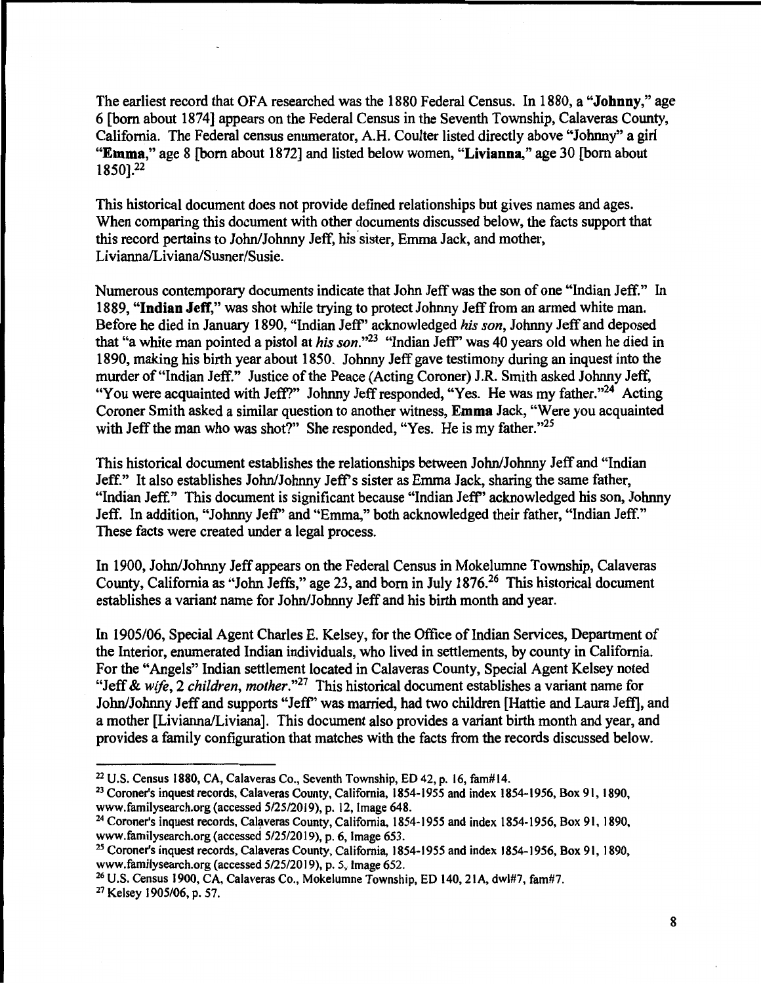The earliest record that OFA researched was the 1880 Federal Census. In 1880, a **"Johnny,"** age 6 [bom about 1874] appears on the Federal Census in the Seventh Township, Calaveras County, California. The Federal census enumerator, A.H. Coulter listed directly above "Johnny" a girl **"Emma,"** age 8 [bom about 1872] and listed below women, **"Livianna,"** age 30 [born about 1850].22

This historical document does not provide defined relationships but gives names and ages. When comparing this document with other documents discussed below, the facts support that this record pertains to John/Johnny Jeff, his sister, Emma Jack, and mother, Livianna/Liviana/Susner/Susie.

Numerous contemporary documents indicate that John Jeff was the son of one "Indian Jeff." In 1889, **"Indian Jeff,"** was shot while trying to protect Johnny Jeff from an armed white man. Before he died in January 1890, "Indian Jeff' acknowledged *his son,* Johnny Jeff and deposed that "a white man pointed a pistol at *his son."23* "Indian Jeff' was 40 years old when he died in 1890, making his birth year about 1850. Johnny Jeff gave testimony during an inquest into the murder of "Indian Jeff." Justice of the Peace (Acting Coroner) J.R. Smith asked Johnny Jeff, "You were acquainted with Jeff?" Johnny Jeff responded, "Yes. He was my father."<sup>24</sup> Acting Coroner Smith asked a similar question to another witness, **Emma** Jack, "Were you acquainted with Jeff the man who was shot?" She responded, "Yes. He is my father."<sup>25</sup>

This historical document establishes the relationships between John/Johnny Jeff and "Indian Jeff." It also establishes John/Johnny Jeff's sister as Emma Jack, sharing the same father, "Indian Jeff." This document is significant because "Indian Jeff' acknowledged his son, Johnny Jeff. In addition, "Johnny Jeff' and "Emma," both acknowledged their father, "Indian Jeff." These facts were created under a legal process.

In 1900, John/Johnny Jeff appears on the Federal Census in Mokelumne Township, Calaveras County, California as "John Jeffs," age 23, and born in July 1876.26 This historical document establishes a variant name for John/Johnny Jeff and his birth month and year.

In 1905/06, Special Agent Charles E. Kelsey, for the Office of Indian Services, Department of the Interior, enumerated Indian individuals, who lived in settlements, by county in California. For the "Angels" Indian settlement located in Calaveras County, Special Agent Kelsey noted "Jeff & wife, 2 *children, mother.*"<sup>27</sup> This historical document establishes a variant name for John/Johnny Jeff and supports "Jeff' was married, had two children [Hattie and Laura Jeff], and a mother [Livianna/Liviana]. This document also provides a variant birth month and year, and provides a family configuration that matches with the facts from the records discussed below.

27 Kelsey 1905/06, p. 57.

<sup>22</sup> U.S. Census 1880, CA, Calaveras Co., Seventh Township, ED 42, p. 16, fam#l4.

<sup>23</sup> Coroner's inquest records, Calaveras County, California, 1854-1955 and index 1854-1956, Box 91, 1890, www.familysearch.org (accessed 5/25/2019), p. 12, Image 648.

<sup>&</sup>lt;sup>24</sup> Coroner's inquest records, Calaveras County, California, 1854-1955 and index 1854-1956, Box 91, 1890, www.familysearch.org (accessed  $5/25/2019$ ), p. 6, Image 653.

<sup>25</sup> Coroner's inquest records, Calaveras County, California, 1854-1955 and index 1854-1956, Box 91, 1890, www.familysearch.org (accessed 5/25/2019), p. 5, Image 652.

<sup>26</sup> U.S. Census 1900, CA, Calaveras Co., Mokelumne Township, ED 140, 21A, dwl#7, fam#7.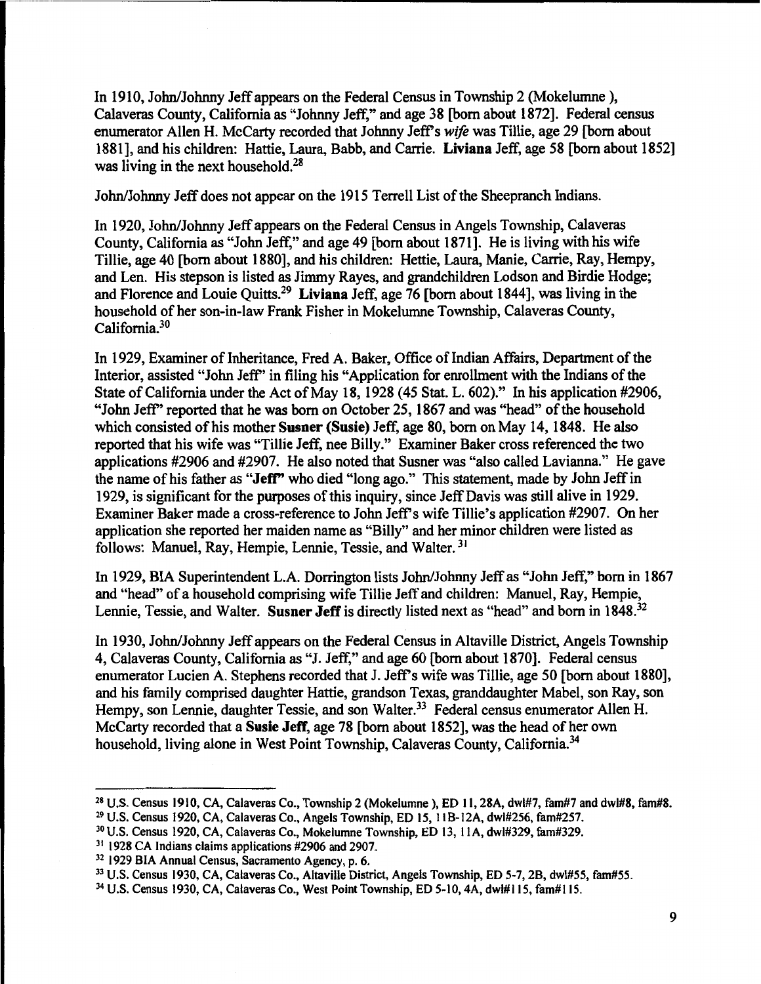In 1910, John/Johnny Jeff appears on the Federal Census in Township 2 (Mokelumne }, Calaveras County, California as "Johnny Jeff," and age 38 [born about 1872]. Federal census enumerator Allen H. McCarty recorded that Johnny Jeff's *wife* was Tillie, age 29 [born about 1881], and his children: Hattie, Laura, Babb, and Carrie. **Liviana** Jeff, age 58 [born about 1852] was living in the next household. $28$ 

John/Johnny Jeff does not appear on the 1915 Terrell List of the Sheepranch Indians.

In 1920, John/Johnny Jeff appears on the Federal Census in Angels Township, Calaveras County, California as "John Jeff," and age 49 [born about 1871]. He is living with his wife Tillie, age 40 [born about 1880], and his children: Hettie, Laura, Manie, Carrie, Ray, Hempy, and Len. His stepson is listed as Jimmy Rayes, and grandchildren Lodson and Birdie Hodge; and Florence and Louie Quitts.<sup>29</sup>**Liviana** Jeff, age 76 [born about 1844], was living in the household of her son-in-law Frank Fisher in Mokelumne Township, Calaveras County, California.<sup>30</sup>

In 1929, Examiner of Inheritance, Fred A. Baker, Office of Indian Affairs, Department of the Interior, assisted "John Jeff'' in filing his "Application for enrollment with the Indians of the State of California under the Act of May 18, 1928 (45 Stat. L. 602)." In his application #2906, "John Jeff'' reported that he was born on October 25, 1867 and was "head" of the household which consisted of his mother **Susner (Susie)** Jeff, age 80, born on May 14, 1848. He also reported that his wife was "Tillie Jeff, nee Billy." Examiner Baker cross referenced the two applications #2906 and #2907. He also noted that Susner was "also called Lavianna." He gave the name of his father as **"Jeff"** who died "long ago." This statement, made by John Jeff in 1929, is significant for the purposes of this inquiry, since Jeff Davis was still alive in 1929. Examiner Baker made a cross-reference to John Jeff's wife Tillie's application #2907. On her application she reported her maiden name as "Billy" and her minor children were listed as follows: Manuel, Ray, Hempie, Lennie, Tessie, and Walter. <sup>31</sup>

In 1929, BIA Superintendent L.A. Dorrington lists John/Johnny Jeff as "John Jeff," born in 1867 and ''head" of a household comprising wife Tillie Jeff and children: Manuel, Ray, Hempie, Lennie, Tessie, and Walter. Susner Jeff is directly listed next as "head" and born in 1848.<sup>32</sup>

In 1930, John/Johnny Jeff appears on the Federal Census in Altaville District, Angels Township 4, Calaveras County, California as "J. Jeff," and age 60 [born about 1870]. Federal census enumerator Lucien A. Stephens recorded that J. Jeff's wife was Tillie, age 50 [born about **1880],**  and his family comprised daughter Hattie, grandson Texas, granddaughter Mabel, son Ray, son Hempy, son Lennie, daughter Tessie, and son Walter.<sup>33</sup> Federal census enumerator Allen H. McCarty recorded that a **Susie Jeff,** age 78 [born about 1852], was the head of her own household, living alone in West Point Township, Calaveras County, California.<sup>34</sup>

<sup>28</sup>U.S. Census 1910, CA, Calaveras Co., Township 2 (Mokelumne ), ED 11, 28A, dwl#7, fam#7 and dwl#8, fam#8.

<sup>29</sup> U.S. Census 1920, CA, Calaveras Co., Angels Township, ED 15, 1 IB-12A, dwl#256, fam#257.

<sup>30</sup> U.S. Census 1920, CA, Calaveras Co., Mokelumne Township, ED 13, I IA, dwl#329, fam#329.

<sup>&</sup>lt;sup>31</sup> 1928 CA Indians claims applications #2906 and 2907.

<sup>32 1929</sup> BIA Annual Census, Sacramento Agency, p. 6.

<sup>33</sup> U.S. Census 1930, CA, Calaveras Co., Altaville District, Angels Township, ED 5-7, 28, dwl#55, fam#55.

<sup>34</sup>U.S. Census 1930, CA, Calaveras Co., West Point Township, ED 5-10, 4A, dwl#l 15, fam#I 15.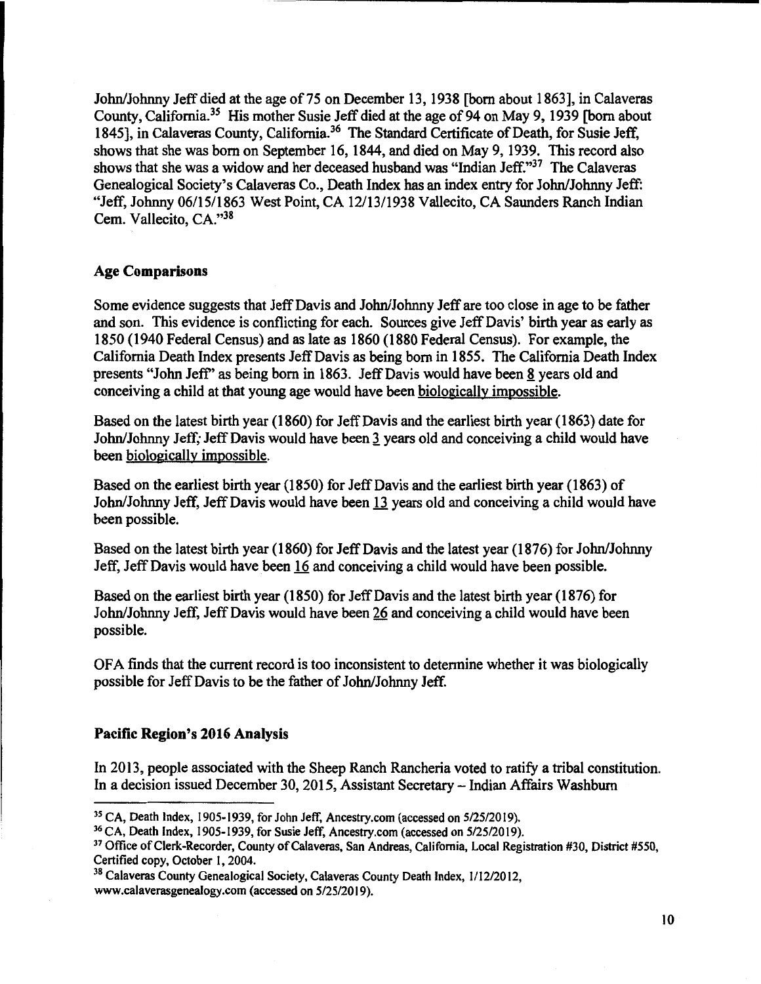John/Johnny Jeff died at the age of75 on December 13, 1938 [born about 1863], in Calaveras County, California.<sup>35</sup> His mother Susie Jeff died at the age of 94 on May 9, 1939 [born about 1845], in Calaveras County, California.<sup>36</sup> The Standard Certificate of Death, for Susie Jeff, shows that she was born on September 16, 1844, and died on May 9, 1939. This record also shows that she was a widow and her deceased husband was "Indian Jeff." $37$  The Calaveras Genealogical Society's Calaveras Co., Death Index has an index entry for John/Johnny Jeff: "Jeff, Johnny 06/15/1863 West Point, CA 12/13/1938 Vallecito, CA Saunders Ranch Indian Cem. Vallecito, CA."38

# **Age Comparisons**

Some evidence suggests that Jeff Davis and John/Johnny Jeff are too close in age to be father and son. This evidence is conflicting for each. Sources give Jeff Davis' birth year as early as 1850 (1940 Federal Census) and as late as 1860 (1880 Federal Census). For example, the California Death Index presents Jeff Davis as being born in 1855. The California Death Index presents "John Jeff" as being born in 1863. Jeff Davis would have been 8 years old and conceiving a child at that young age would have been biologically impossible.

Based on the latest birth year (1860) for Jeff Davis and the earliest birth year (1863) date for John/Johnny Jeff; Jeff Davis would have been J years old and conceiving a child would have been biologically impossible.

Based on the earliest birth year (1850) for Jeff Davis and the earliest birth year (1863) of John/Johnny Jeff, Jeff Davis would have been 13 years old and conceiving a child would have been possible.

Based on the latest birth year (1860) for Jeff Davis and the latest year (1876) for John/Johnny Jeff, Jeff Davis would have been 16 and conceiving a child would have been possible.

Based on the earliest birth year (1850) for Jeff Davis and the latest birth year (1876) for John/Johnny Jeff, Jeff Davis would have been 26 and conceiving a child would have been possible.

OFA finds that the current record is too inconsistent to determine whether it was biologically possible for Jeff Davis to be the father of John/Johnny Jeff.

## **Pacific Region's 2016 Analysis**

In 2013, people associated with the Sheep Ranch Rancheria voted to ratify a tribal constitution. In a decision issued December 30, 2015, Assistant Secretary - Indian Affairs Washburn

<sup>&</sup>lt;sup>35</sup> CA, Death Index, 1905-1939, for John Jeff, Ancestry.com (accessed on 5/25/2019).

<sup>36</sup> CA, Death Index, 1905-1939, for Susie Jeff, Ancestry.com (accessed on 5/25/2019).

<sup>37</sup> Office of Clerk-Recorder, County of Calaveras, San Andreas, California, Local Registration #30, District #550, Certified copy, October I, 2004.

<sup>38</sup> Calaveras County Genealogical Society, Calaveras County Death Index, 1/12/2012, www.calaverasgenealogy.com (accessed on 5/25/2019).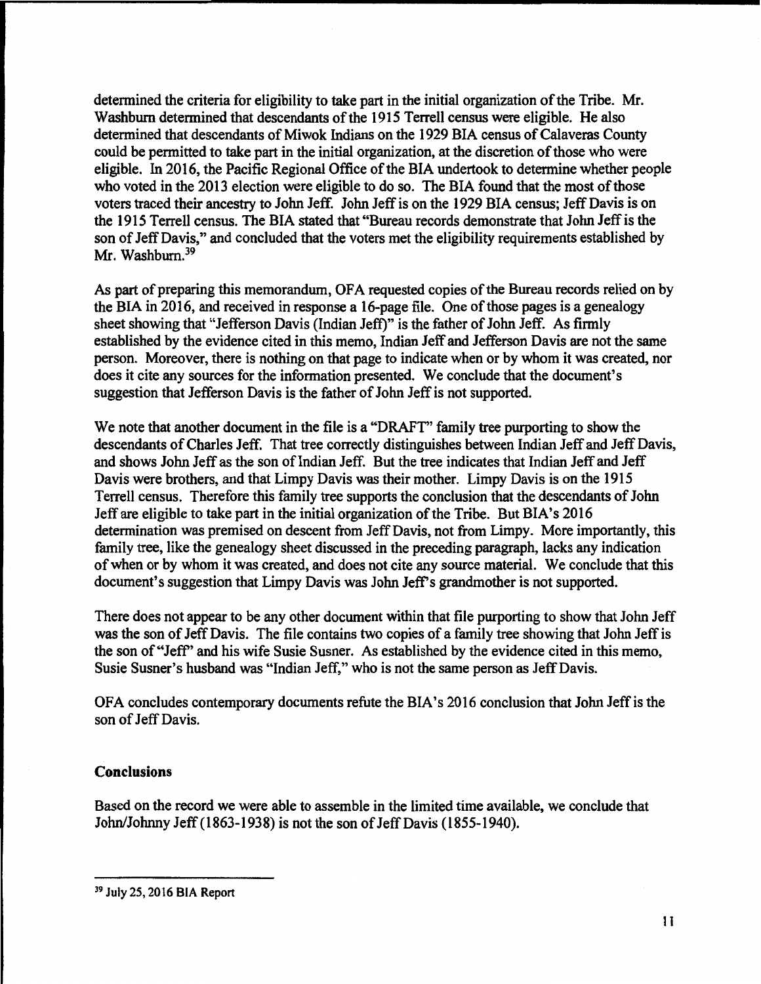determined the criteria for eligibility to take part in the initial organization of the Tribe. Mr. Washburn determined that descendants of the 1915 Terrell census were eligible. He also determined that descendants of Miwok Indians on the 1929 BIA census of Calaveras County could be permitted to take part in the initial organization, at the discretion of those who were eligible. In 2016, the Pacific Regional Office of the BIA undertook to determine whether people who voted in the 2013 election were eligible to do so. The BIA found that the most of those voters traced their ancestry to John Jeff. John Jeff is on the 1929 BIA census; Jeff Davis is on the 1915 Terrell census. The BIA stated that "Bureau records demonstrate that John Jeff is the son of Jeff Davis," and concluded that the voters met the eligibility requirements established by Mr. Washburn.<sup>39</sup>

As part of preparing this memorandum, OFA requested copies of the Bureau records relied on by the BIA in 2016, and received in response a 16-page file. One of those pages is a genealogy sheet showing that "Jefferson Davis {Indian Jeff)" is the father of John Jeff. As firmly established by the evidence cited in this memo, Indian Jeff and Jefferson Davis are not the same person. Moreover, there is nothing on that page to indicate when or by whom it was created, nor does it cite any sources for the information presented. We conclude that the document's suggestion that Jefferson Davis is the father of John Jeff is not supported.

We note that another document in the file is a "DRAFT" family tree purporting to show the descendants of Charles Jeff. That tree correctly distinguishes between Indian Jeff and Jeff Davis, and shows John Jeff as the son of Indian Jeff. But the tree indicates that Indian Jeff and Jeff Davis were brothers, and that Limpy Davis was their mother. Limpy Davis is on the 1915 Terrell census. Therefore this family tree supports the conclusion that the descendants of John Jeff are eligible to take part in the initial organization of the Tribe. But BIA's 2016 determination was premised on descent from Jeff Davis, not from Limpy. More importantly, this family tree, like the genealogy sheet discussed in the preceding paragraph, lacks any indication of when or by whom it was created, and does not cite any source material. We conclude that this document's suggestion that Limpy Davis was John Jeff's grandmother is not supported.

There does not appear to be any other document within that file purporting to show that John Jeff was the son of Jeff Davis. The file contains two copies of a family tree showing that John Jeff is the son of"Jeff' and his wife Susie Susner. As established by the evidence cited in this memo, Susie Susner's husband was "Indian Jeff," who is not the same person as Jeff Davis.

OFA concludes contemporary documents refute the BIA's 2016 conclusion that John Jeff is the son of Jeff Davis.

## **Conclusions**

Based on the record we were able to assemble in the limited time available, we conclude that John/Johnny Jeff { 1863-1938) is not the son of Jeff Davis { 1855-1940).

<sup>39</sup> July 25, 2016 BIA Report